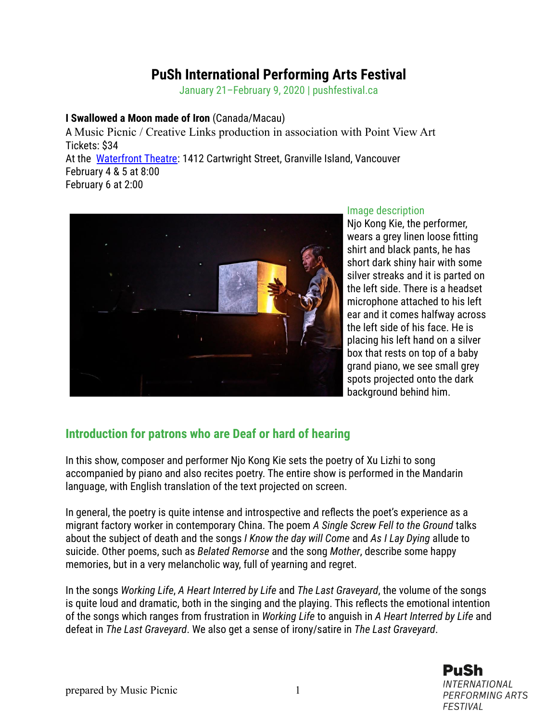## **PuSh International Performing Arts Festival**

January 21–February 9, 2020 | pushfestival.ca

## **I Swallowed a Moon made of Iron** (Canada/Macau)

A Music Picnic / Creative Links production in association with Point View Art Tickets: \$34 At the [Waterfront Theatre:](https://pushfestival.ca/festival-events/venues/#venue-waterfront-theatre) 1412 Cartwright Street, Granville Island, Vancouver February 4 & 5 at 8:00 February 6 at 2:00



## Image description

Njo Kong Kie, the performer, wears a grey linen loose fitting shirt and black pants, he has short dark shiny hair with some silver streaks and it is parted on the left side. There is a headset microphone attached to his left ear and it comes halfway across the left side of his face. He is placing his left hand on a silver box that rests on top of a baby grand piano, we see small grey spots projected onto the dark background behind him.

## **Introduction for patrons who are Deaf or hard of hearing**

In this show, composer and performer Njo Kong Kie sets the poetry of Xu Lizhi to song accompanied by piano and also recites poetry. The entire show is performed in the Mandarin language, with English translation of the text projected on screen.

In general, the poetry is quite intense and introspective and reflects the poet's experience as a migrant factory worker in contemporary China. The poem *A Single Screw Fell to the Ground* talks about the subject of death and the songs *I Know the day will Come* and *As I Lay Dying* allude to suicide. Other poems, such as *Belated Remorse* and the song *Mother*, describe some happy memories, but in a very melancholic way, full of yearning and regret.

In the songs *Working Life*, *A Heart Interred by Life* and *The Last Graveyard*, the volume of the songs is quite loud and dramatic, both in the singing and the playing. This reflects the emotional intention of the songs which ranges from frustration in *Working Life* to anguish in *A Heart Interred by Life* and defeat in *The Last Graveyard*. We also get a sense of irony/satire in *The Last Graveyard*.

> PuSh **INTERNATIONAL PERFORMING ARTS FESTIVAL**